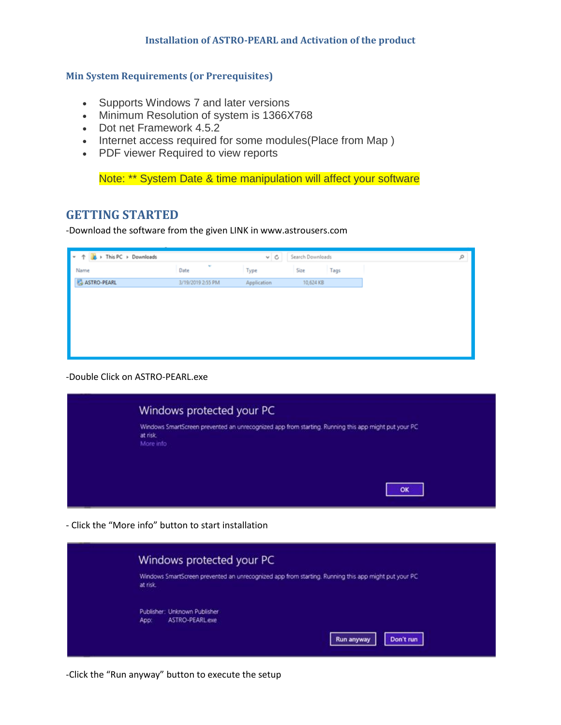## **Installation of ASTRO-PEARL and Activation of the product**

## **Min System Requirements (or Prerequisites)**

- Supports Windows 7 and later versions
- Minimum Resolution of system is 1366X768
- Dot net Framework 4.5.2
- Internet access required for some modules (Place from Map)
- PDF viewer Required to view reports

Note: \*\* System Date & time manipulation will affect your software

## **GETTING STARTED**

-Download the software from the given LINK in www.astrousers.com

| $\bullet$ $\uparrow$ $\downarrow$ > This PC > Downloads |                   | $\vee$ 0    | Search Downloads |  |
|---------------------------------------------------------|-------------------|-------------|------------------|--|
| Name                                                    | ٠<br>Date         | Type        | Size<br>Tags     |  |
| ASTRO-PEARL                                             | 3/19/2019 2:55 PM | Application | 10,624 KB        |  |
|                                                         |                   |             |                  |  |
|                                                         |                   |             |                  |  |
|                                                         |                   |             |                  |  |
|                                                         |                   |             |                  |  |
|                                                         |                   |             |                  |  |
|                                                         |                   |             |                  |  |

-Double Click on ASTRO-PEARL.exe



- Click the "More info" button to start installation

| Windows protected your PC                                                                                      |
|----------------------------------------------------------------------------------------------------------------|
| Windows SmartScreen prevented an unrecognized app from starting. Running this app might put your PC<br>at risk |
| Publisher: Unknown Publisher<br>ASTRO-PEARL.exe<br>App:                                                        |
| Don't run<br>Run anyway                                                                                        |

-Click the "Run anyway" button to execute the setup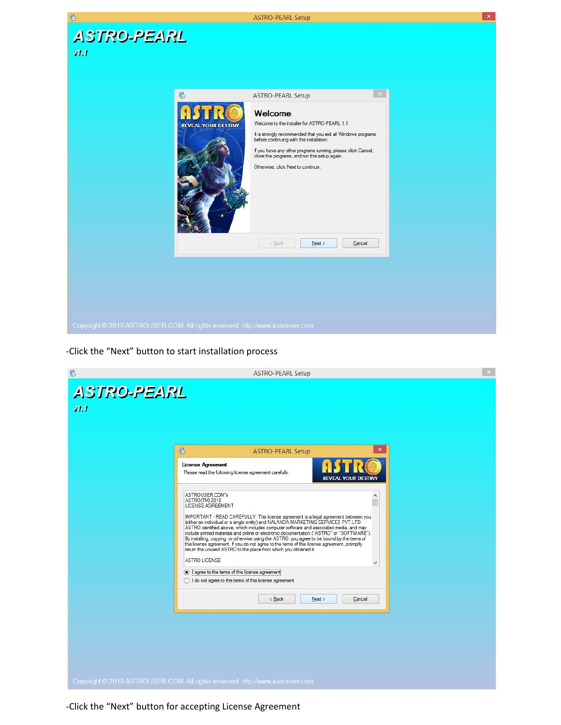

-Click the "Next" button to start installation process

| B                                                                             |                                                                                                                                                                                                                                                                                                                                                                                                                                                                                                                                                                                                                                                                                                                             | <b>ASTRO-PEARL Setup</b> |                            | $\propto$ |
|-------------------------------------------------------------------------------|-----------------------------------------------------------------------------------------------------------------------------------------------------------------------------------------------------------------------------------------------------------------------------------------------------------------------------------------------------------------------------------------------------------------------------------------------------------------------------------------------------------------------------------------------------------------------------------------------------------------------------------------------------------------------------------------------------------------------------|--------------------------|----------------------------|-----------|
| <b>ASTRO-PEARL</b>                                                            |                                                                                                                                                                                                                                                                                                                                                                                                                                                                                                                                                                                                                                                                                                                             |                          |                            |           |
| VI.1                                                                          |                                                                                                                                                                                                                                                                                                                                                                                                                                                                                                                                                                                                                                                                                                                             |                          |                            |           |
|                                                                               |                                                                                                                                                                                                                                                                                                                                                                                                                                                                                                                                                                                                                                                                                                                             |                          |                            |           |
|                                                                               |                                                                                                                                                                                                                                                                                                                                                                                                                                                                                                                                                                                                                                                                                                                             |                          |                            |           |
|                                                                               | 屬                                                                                                                                                                                                                                                                                                                                                                                                                                                                                                                                                                                                                                                                                                                           | <b>ASTRO-PEARL Setup</b> | $\boldsymbol{\times}$      |           |
|                                                                               | <b>License Agreement</b><br>Please read the following license agreement carefully.                                                                                                                                                                                                                                                                                                                                                                                                                                                                                                                                                                                                                                          |                          | <b>REVEAL YOUR DESTINY</b> |           |
|                                                                               | ASTROUSER.COM"s<br>ASTRO(TM) 2018<br><b>LICENSE AGREEMENT</b><br>IMPORTANT - READ CAREFULLY: This license agreement is a legal agreement between you<br>(either an individual or a single entity) and NALANDA MARKETING SERVICES PVT.LTD.<br>ASTRO identified above, which includes computer software and associated media, and may<br>include printed materials and online or electronic documentation ("ASTRO" or "SOFTWARE").<br>By installing, copying, or otherwise using the ASTRO, you agree to be bound by the terms of<br>this license agreement. If you do not agree to the terms of this license agreement, promptly<br>return the unused ASTRO to the place from which you obtained it.<br><b>ASTRO LICENSE</b> |                          | $\land$<br>٧               |           |
|                                                                               | agree to the terms of this license agreement<br>◯ I do not agree to the terms of this license agreement                                                                                                                                                                                                                                                                                                                                                                                                                                                                                                                                                                                                                     |                          |                            |           |
|                                                                               |                                                                                                                                                                                                                                                                                                                                                                                                                                                                                                                                                                                                                                                                                                                             | < Back<br>Next           | Cancel                     |           |
|                                                                               |                                                                                                                                                                                                                                                                                                                                                                                                                                                                                                                                                                                                                                                                                                                             |                          |                            |           |
| Copyright © 2019 ASTROUSER COM. All rights reserved. http://www.astrouser.com |                                                                                                                                                                                                                                                                                                                                                                                                                                                                                                                                                                                                                                                                                                                             |                          |                            |           |

-Click the "Next" button for accepting License Agreement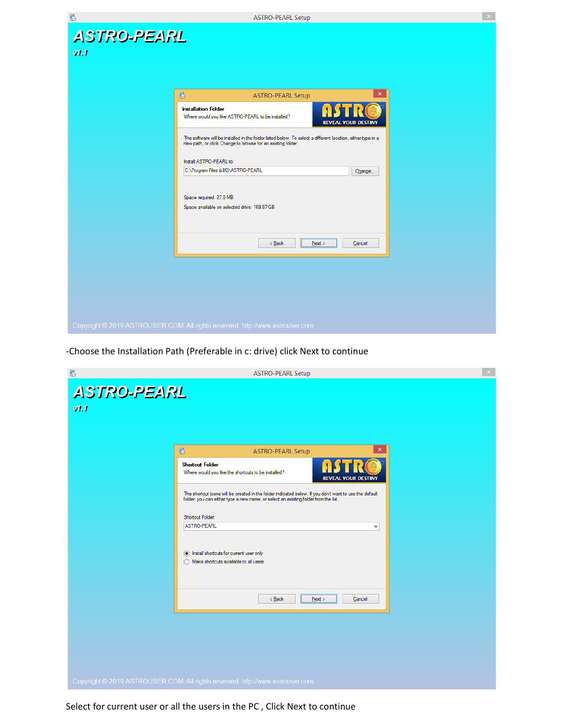

-Choose the Installation Path (Preferable in c: drive) click Next to continue

| $\bullet$                  | <b>ASTRO-PEARL Setup</b>                                                                                                                                                                                                                                                                                                                                                                                                                                         | $\propto$ |
|----------------------------|------------------------------------------------------------------------------------------------------------------------------------------------------------------------------------------------------------------------------------------------------------------------------------------------------------------------------------------------------------------------------------------------------------------------------------------------------------------|-----------|
| <b>ASTRO-PEARL</b><br>V1.1 |                                                                                                                                                                                                                                                                                                                                                                                                                                                                  |           |
|                            | $\pmb{\times}$<br>屬<br><b>ASTRO-PEARL Setup</b>                                                                                                                                                                                                                                                                                                                                                                                                                  |           |
|                            | <b>Shortcut Folder</b><br>Where would you like the shortcuts to be installed?<br><b>REVEAL YOUR DESTINY</b><br>The shortcut icons will be created in the folder indicated below. If you don't want to use the default<br>folder, you can either type a new name, or select an existing folder from the list.<br>Shortcut Folder:<br><b>ASTRO-PEARL</b><br>$\checkmark$<br>(a) Install shortcuts for current user only<br>◯ Make shortcuts available to all users |           |
|                            | $<$ Back<br>$N$ ext ><br>Cancel                                                                                                                                                                                                                                                                                                                                                                                                                                  |           |
|                            |                                                                                                                                                                                                                                                                                                                                                                                                                                                                  |           |
|                            |                                                                                                                                                                                                                                                                                                                                                                                                                                                                  |           |
|                            |                                                                                                                                                                                                                                                                                                                                                                                                                                                                  |           |
|                            | Copyright © 2019 ASTROUSER.COM. All rights reserved. http://www.astrouser.com                                                                                                                                                                                                                                                                                                                                                                                    |           |

Select for current user or all the users in the PC , Click Next to continue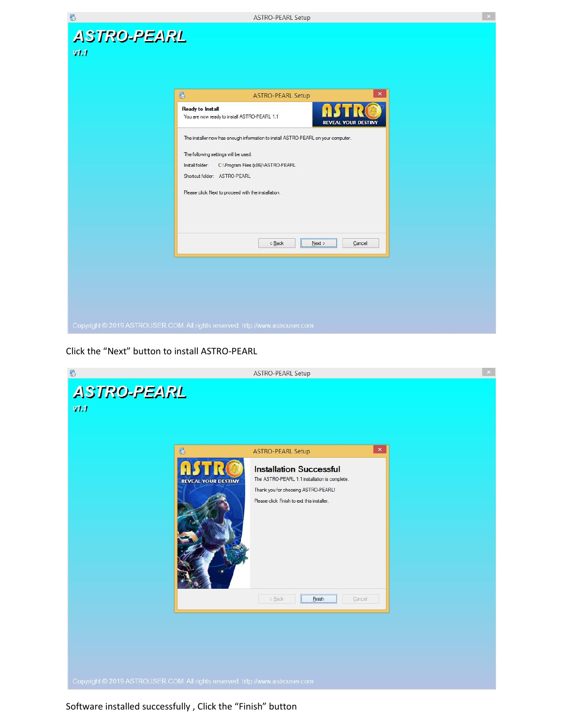

Click the "Next" button to install ASTRO-PEARL



Software installed successfully , Click the "Finish" button